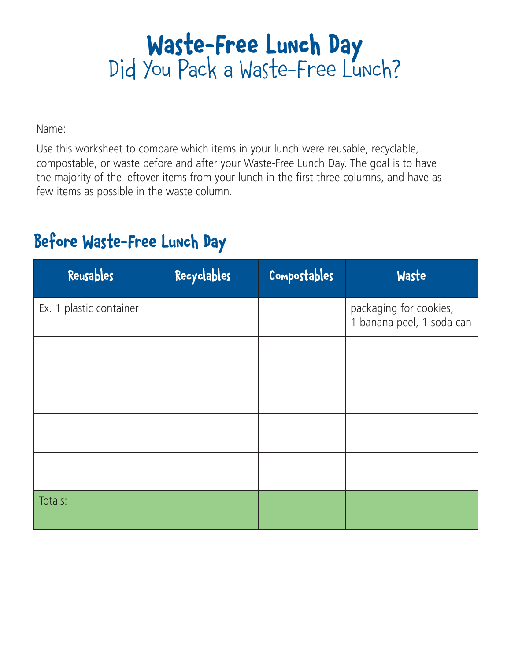# **Waste-Free Lunch Day** Did You Pack a Waste-Free Lunch?

Name: \_\_\_\_\_\_\_\_\_\_\_\_\_\_\_\_\_\_\_\_\_\_\_\_\_\_\_\_\_\_\_\_\_\_\_\_\_\_\_\_\_\_\_\_\_\_\_\_\_\_\_\_\_\_\_\_\_\_\_\_\_\_\_\_\_\_\_\_\_

Use this worksheet to compare which items in your lunch were reusable, recyclable, compostable, or waste before and after your Waste-Free Lunch Day. The goal is to have the majority of the leftover items from your lunch in the first three columns, and have as few items as possible in the waste column.

#### **Before Waste-Free Lunch Day**

| Reusables               | Recyclables | Compostables | Waste                                               |
|-------------------------|-------------|--------------|-----------------------------------------------------|
| Ex. 1 plastic container |             |              | packaging for cookies,<br>1 banana peel, 1 soda can |
|                         |             |              |                                                     |
|                         |             |              |                                                     |
|                         |             |              |                                                     |
|                         |             |              |                                                     |
| Totals:                 |             |              |                                                     |